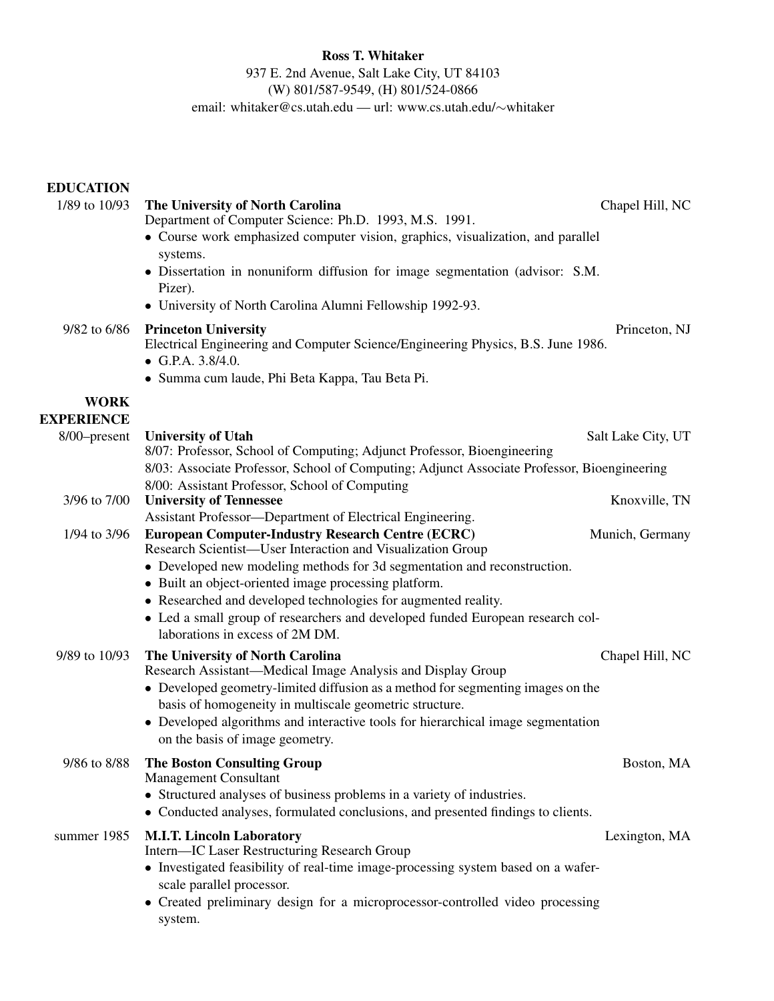Ross T. Whitaker 937 E. 2nd Avenue, Salt Lake City, UT 84103 (W) 801/587-9549, (H) 801/524-0866 email: whitaker@cs.utah.edu — url: www.cs.utah.edu/~whitaker

EDUCATION

| 1/89 to 10/93                    | The University of North Carolina<br>Department of Computer Science: Ph.D. 1993, M.S. 1991.                                                    | Chapel Hill, NC    |
|----------------------------------|-----------------------------------------------------------------------------------------------------------------------------------------------|--------------------|
|                                  | • Course work emphasized computer vision, graphics, visualization, and parallel<br>systems.                                                   |                    |
|                                  | · Dissertation in nonuniform diffusion for image segmentation (advisor: S.M.                                                                  |                    |
|                                  | Pizer).<br>• University of North Carolina Alumni Fellowship 1992-93.                                                                          |                    |
| 9/82 to 6/86                     | <b>Princeton University</b><br>Electrical Engineering and Computer Science/Engineering Physics, B.S. June 1986.<br>• G.P.A. $3.8/4.0$ .       | Princeton, NJ      |
|                                  | • Summa cum laude, Phi Beta Kappa, Tau Beta Pi.                                                                                               |                    |
| <b>WORK</b><br><b>EXPERIENCE</b> |                                                                                                                                               |                    |
| 8/00-present                     | <b>University of Utah</b>                                                                                                                     | Salt Lake City, UT |
|                                  | 8/07: Professor, School of Computing; Adjunct Professor, Bioengineering                                                                       |                    |
|                                  | 8/03: Associate Professor, School of Computing; Adjunct Associate Professor, Bioengineering<br>8/00: Assistant Professor, School of Computing |                    |
| 3/96 to 7/00                     | <b>University of Tennessee</b>                                                                                                                | Knoxville, TN      |
| 1/94 to 3/96                     | Assistant Professor-Department of Electrical Engineering.<br><b>European Computer-Industry Research Centre (ECRC)</b>                         | Munich, Germany    |
|                                  | Research Scientist-User Interaction and Visualization Group<br>• Developed new modeling methods for 3d segmentation and reconstruction.       |                    |
|                                  | • Built an object-oriented image processing platform.<br>• Researched and developed technologies for augmented reality.                       |                    |
|                                  | • Led a small group of researchers and developed funded European research col-<br>laborations in excess of 2M DM.                             |                    |
| 9/89 to 10/93                    | The University of North Carolina                                                                                                              | Chapel Hill, NC    |
|                                  | Research Assistant-Medical Image Analysis and Display Group                                                                                   |                    |
|                                  | • Developed geometry-limited diffusion as a method for segmenting images on the<br>basis of homogeneity in multiscale geometric structure.    |                    |
|                                  | • Developed algorithms and interactive tools for hierarchical image segmentation<br>on the basis of image geometry.                           |                    |
| 9/86 to 8/88                     | <b>The Boston Consulting Group</b>                                                                                                            | Boston, MA         |
|                                  | <b>Management Consultant</b><br>• Structured analyses of business problems in a variety of industries.                                        |                    |
|                                  | • Conducted analyses, formulated conclusions, and presented findings to clients.                                                              |                    |
| summer 1985                      | <b>M.I.T. Lincoln Laboratory</b>                                                                                                              | Lexington, MA      |
|                                  | Intern-IC Laser Restructuring Research Group<br>• Investigated feasibility of real-time image-processing system based on a wafer-             |                    |
|                                  | scale parallel processor.<br>• Created preliminary design for a microprocessor-controlled video processing                                    |                    |
|                                  | system.                                                                                                                                       |                    |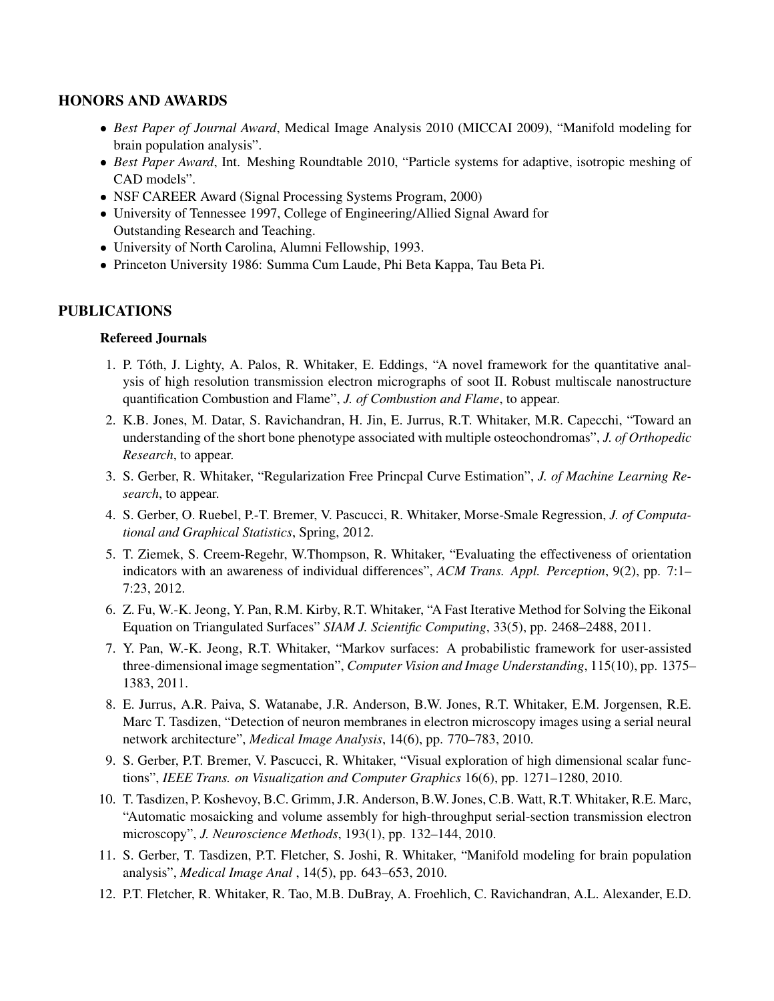# HONORS AND AWARDS

- *• Best Paper of Journal Award*, Medical Image Analysis 2010 (MICCAI 2009), "Manifold modeling for brain population analysis".
- *Best Paper Award*, Int. Meshing Roundtable 2010, "Particle systems for adaptive, isotropic meshing of CAD models".
- NSF CAREER Award (Signal Processing Systems Program, 2000)
- *•* University of Tennessee 1997, College of Engineering/Allied Signal Award for Outstanding Research and Teaching.
- *•* University of North Carolina, Alumni Fellowship, 1993.
- *•* Princeton University 1986: Summa Cum Laude, Phi Beta Kappa, Tau Beta Pi.

# PUBLICATIONS

### Refereed Journals

- 1. P. Toth, J. Lighty, A. Palos, R. Whitaker, E. Eddings, "A novel framework for the quantitative anal- ´ ysis of high resolution transmission electron micrographs of soot II. Robust multiscale nanostructure quantification Combustion and Flame", *J. of Combustion and Flame*, to appear.
- 2. K.B. Jones, M. Datar, S. Ravichandran, H. Jin, E. Jurrus, R.T. Whitaker, M.R. Capecchi, "Toward an understanding of the short bone phenotype associated with multiple osteochondromas", *J. of Orthopedic Research*, to appear.
- 3. S. Gerber, R. Whitaker, "Regularization Free Princpal Curve Estimation", *J. of Machine Learning Research*, to appear.
- 4. S. Gerber, O. Ruebel, P.-T. Bremer, V. Pascucci, R. Whitaker, Morse-Smale Regression, *J. of Computational and Graphical Statistics*, Spring, 2012.
- 5. T. Ziemek, S. Creem-Regehr, W.Thompson, R. Whitaker, "Evaluating the effectiveness of orientation indicators with an awareness of individual differences", *ACM Trans. Appl. Perception*, 9(2), pp. 7:1– 7:23, 2012.
- 6. Z. Fu, W.-K. Jeong, Y. Pan, R.M. Kirby, R.T. Whitaker, "A Fast Iterative Method for Solving the Eikonal Equation on Triangulated Surfaces" *SIAM J. Scientific Computing*, 33(5), pp. 2468–2488, 2011.
- 7. Y. Pan, W.-K. Jeong, R.T. Whitaker, "Markov surfaces: A probabilistic framework for user-assisted three-dimensional image segmentation", *Computer Vision and Image Understanding*, 115(10), pp. 1375– 1383, 2011.
- 8. E. Jurrus, A.R. Paiva, S. Watanabe, J.R. Anderson, B.W. Jones, R.T. Whitaker, E.M. Jorgensen, R.E. Marc T. Tasdizen, "Detection of neuron membranes in electron microscopy images using a serial neural network architecture", *Medical Image Analysis*, 14(6), pp. 770–783, 2010.
- 9. S. Gerber, P.T. Bremer, V. Pascucci, R. Whitaker, "Visual exploration of high dimensional scalar functions", *IEEE Trans. on Visualization and Computer Graphics* 16(6), pp. 1271–1280, 2010.
- 10. T. Tasdizen, P. Koshevoy, B.C. Grimm, J.R. Anderson, B.W. Jones, C.B. Watt, R.T. Whitaker, R.E. Marc, "Automatic mosaicking and volume assembly for high-throughput serial-section transmission electron microscopy", *J. Neuroscience Methods*, 193(1), pp. 132–144, 2010.
- 11. S. Gerber, T. Tasdizen, P.T. Fletcher, S. Joshi, R. Whitaker, "Manifold modeling for brain population analysis", *Medical Image Anal* , 14(5), pp. 643–653, 2010.
- 12. P.T. Fletcher, R. Whitaker, R. Tao, M.B. DuBray, A. Froehlich, C. Ravichandran, A.L. Alexander, E.D.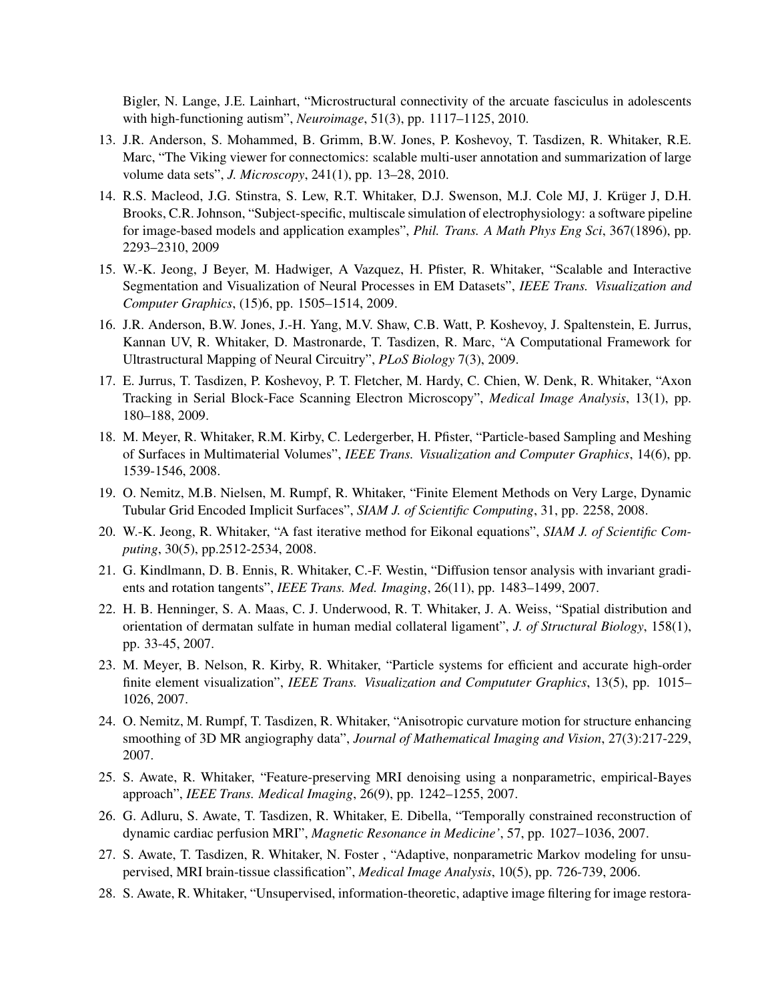Bigler, N. Lange, J.E. Lainhart, "Microstructural connectivity of the arcuate fasciculus in adolescents with high-functioning autism", *Neuroimage*, 51(3), pp. 1117–1125, 2010.

- 13. J.R. Anderson, S. Mohammed, B. Grimm, B.W. Jones, P. Koshevoy, T. Tasdizen, R. Whitaker, R.E. Marc, "The Viking viewer for connectomics: scalable multi-user annotation and summarization of large volume data sets", *J. Microscopy*, 241(1), pp. 13–28, 2010.
- 14. R.S. Macleod, J.G. Stinstra, S. Lew, R.T. Whitaker, D.J. Swenson, M.J. Cole MJ, J. Kruger J, D.H. ¨ Brooks, C.R. Johnson, "Subject-specific, multiscale simulation of electrophysiology: a software pipeline for image-based models and application examples", *Phil. Trans. A Math Phys Eng Sci*, 367(1896), pp. 2293–2310, 2009
- 15. W.-K. Jeong, J Beyer, M. Hadwiger, A Vazquez, H. Pfister, R. Whitaker, "Scalable and Interactive Segmentation and Visualization of Neural Processes in EM Datasets", *IEEE Trans. Visualization and Computer Graphics*, (15)6, pp. 1505–1514, 2009.
- 16. J.R. Anderson, B.W. Jones, J.-H. Yang, M.V. Shaw, C.B. Watt, P. Koshevoy, J. Spaltenstein, E. Jurrus, Kannan UV, R. Whitaker, D. Mastronarde, T. Tasdizen, R. Marc, "A Computational Framework for Ultrastructural Mapping of Neural Circuitry", *PLoS Biology* 7(3), 2009.
- 17. E. Jurrus, T. Tasdizen, P. Koshevoy, P. T. Fletcher, M. Hardy, C. Chien, W. Denk, R. Whitaker, "Axon Tracking in Serial Block-Face Scanning Electron Microscopy", *Medical Image Analysis*, 13(1), pp. 180–188, 2009.
- 18. M. Meyer, R. Whitaker, R.M. Kirby, C. Ledergerber, H. Pfister, "Particle-based Sampling and Meshing of Surfaces in Multimaterial Volumes", *IEEE Trans. Visualization and Computer Graphics*, 14(6), pp. 1539-1546, 2008.
- 19. O. Nemitz, M.B. Nielsen, M. Rumpf, R. Whitaker, "Finite Element Methods on Very Large, Dynamic Tubular Grid Encoded Implicit Surfaces", *SIAM J. of Scientific Computing*, 31, pp. 2258, 2008.
- 20. W.-K. Jeong, R. Whitaker, "A fast iterative method for Eikonal equations", *SIAM J. of Scientific Computing*, 30(5), pp.2512-2534, 2008.
- 21. G. Kindlmann, D. B. Ennis, R. Whitaker, C.-F. Westin, "Diffusion tensor analysis with invariant gradients and rotation tangents", *IEEE Trans. Med. Imaging*, 26(11), pp. 1483–1499, 2007.
- 22. H. B. Henninger, S. A. Maas, C. J. Underwood, R. T. Whitaker, J. A. Weiss, "Spatial distribution and orientation of dermatan sulfate in human medial collateral ligament", *J. of Structural Biology*, 158(1), pp. 33-45, 2007.
- 23. M. Meyer, B. Nelson, R. Kirby, R. Whitaker, "Particle systems for efficient and accurate high-order finite element visualization", *IEEE Trans. Visualization and Compututer Graphics*, 13(5), pp. 1015– 1026, 2007.
- 24. O. Nemitz, M. Rumpf, T. Tasdizen, R. Whitaker, "Anisotropic curvature motion for structure enhancing smoothing of 3D MR angiography data", *Journal of Mathematical Imaging and Vision*, 27(3):217-229, 2007.
- 25. S. Awate, R. Whitaker, "Feature-preserving MRI denoising using a nonparametric, empirical-Bayes approach", *IEEE Trans. Medical Imaging*, 26(9), pp. 1242–1255, 2007.
- 26. G. Adluru, S. Awate, T. Tasdizen, R. Whitaker, E. Dibella, "Temporally constrained reconstruction of dynamic cardiac perfusion MRI", *Magnetic Resonance in Medicine'*, 57, pp. 1027–1036, 2007.
- 27. S. Awate, T. Tasdizen, R. Whitaker, N. Foster , "Adaptive, nonparametric Markov modeling for unsupervised, MRI brain-tissue classification", *Medical Image Analysis*, 10(5), pp. 726-739, 2006.
- 28. S. Awate, R. Whitaker, "Unsupervised, information-theoretic, adaptive image filtering for image restora-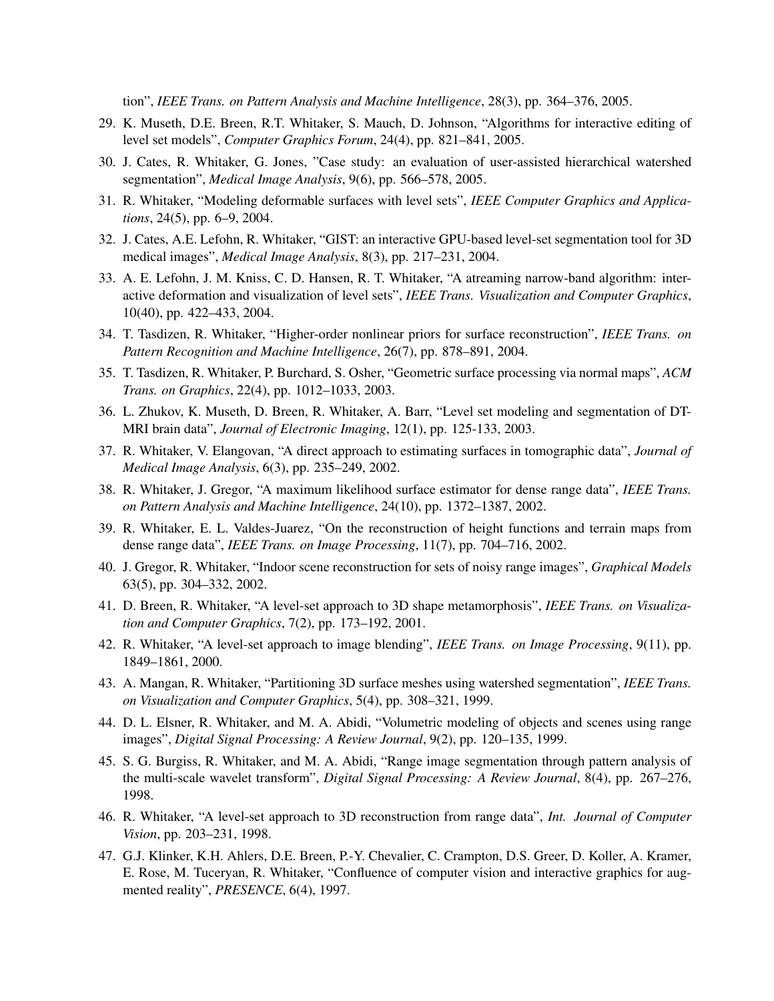tion", *IEEE Trans. on Pattern Analysis and Machine Intelligence*, 28(3), pp. 364–376, 2005.

- 29. K. Museth, D.E. Breen, R.T. Whitaker, S. Mauch, D. Johnson, "Algorithms for interactive editing of level set models", *Computer Graphics Forum*, 24(4), pp. 821–841, 2005.
- 30. J. Cates, R. Whitaker, G. Jones, "Case study: an evaluation of user-assisted hierarchical watershed segmentation", *Medical Image Analysis*, 9(6), pp. 566–578, 2005.
- 31. R. Whitaker, "Modeling deformable surfaces with level sets", *IEEE Computer Graphics and Applications*, 24(5), pp. 6–9, 2004.
- 32. J. Cates, A.E. Lefohn, R. Whitaker, "GIST: an interactive GPU-based level-set segmentation tool for 3D medical images", *Medical Image Analysis*, 8(3), pp. 217–231, 2004.
- 33. A. E. Lefohn, J. M. Kniss, C. D. Hansen, R. T. Whitaker, "A atreaming narrow-band algorithm: interactive deformation and visualization of level sets", *IEEE Trans. Visualization and Computer Graphics*, 10(40), pp. 422–433, 2004.
- 34. T. Tasdizen, R. Whitaker, "Higher-order nonlinear priors for surface reconstruction", *IEEE Trans. on Pattern Recognition and Machine Intelligence*, 26(7), pp. 878–891, 2004.
- 35. T. Tasdizen, R. Whitaker, P. Burchard, S. Osher, "Geometric surface processing via normal maps", *ACM Trans. on Graphics*, 22(4), pp. 1012–1033, 2003.
- 36. L. Zhukov, K. Museth, D. Breen, R. Whitaker, A. Barr, "Level set modeling and segmentation of DT-MRI brain data", *Journal of Electronic Imaging*, 12(1), pp. 125-133, 2003.
- 37. R. Whitaker, V. Elangovan, "A direct approach to estimating surfaces in tomographic data", *Journal of Medical Image Analysis*, 6(3), pp. 235–249, 2002.
- 38. R. Whitaker, J. Gregor, "A maximum likelihood surface estimator for dense range data", *IEEE Trans. on Pattern Analysis and Machine Intelligence*, 24(10), pp. 1372–1387, 2002.
- 39. R. Whitaker, E. L. Valdes-Juarez, "On the reconstruction of height functions and terrain maps from dense range data", *IEEE Trans. on Image Processing*, 11(7), pp. 704–716, 2002.
- 40. J. Gregor, R. Whitaker, "Indoor scene reconstruction for sets of noisy range images", *Graphical Models* 63(5), pp. 304–332, 2002.
- 41. D. Breen, R. Whitaker, "A level-set approach to 3D shape metamorphosis", *IEEE Trans. on Visualization and Computer Graphics*, 7(2), pp. 173–192, 2001.
- 42. R. Whitaker, "A level-set approach to image blending", *IEEE Trans. on Image Processing*, 9(11), pp. 1849–1861, 2000.
- 43. A. Mangan, R. Whitaker, "Partitioning 3D surface meshes using watershed segmentation", *IEEE Trans. on Visualization and Computer Graphics*, 5(4), pp. 308–321, 1999.
- 44. D. L. Elsner, R. Whitaker, and M. A. Abidi, "Volumetric modeling of objects and scenes using range images", *Digital Signal Processing: A Review Journal*, 9(2), pp. 120–135, 1999.
- 45. S. G. Burgiss, R. Whitaker, and M. A. Abidi, "Range image segmentation through pattern analysis of the multi-scale wavelet transform", *Digital Signal Processing: A Review Journal*, 8(4), pp. 267–276, 1998.
- 46. R. Whitaker, "A level-set approach to 3D reconstruction from range data", *Int. Journal of Computer Vision*, pp. 203–231, 1998.
- 47. G.J. Klinker, K.H. Ahlers, D.E. Breen, P.-Y. Chevalier, C. Crampton, D.S. Greer, D. Koller, A. Kramer, E. Rose, M. Tuceryan, R. Whitaker, "Confluence of computer vision and interactive graphics for augmented reality", *PRESENCE*, 6(4), 1997.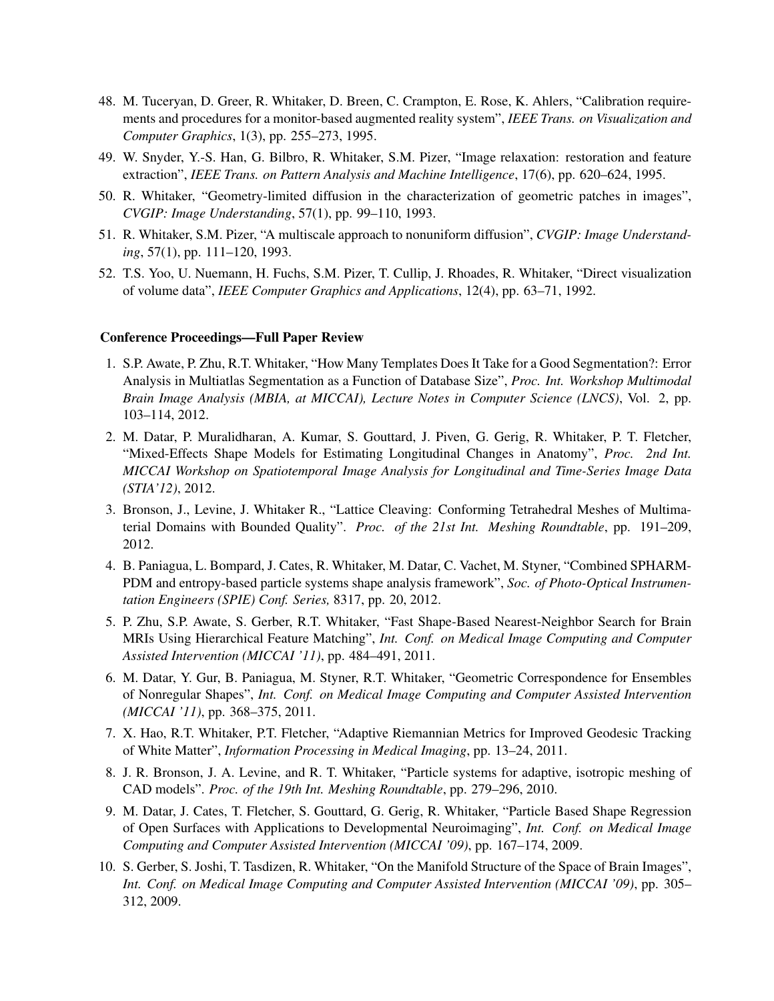- 48. M. Tuceryan, D. Greer, R. Whitaker, D. Breen, C. Crampton, E. Rose, K. Ahlers, "Calibration requirements and procedures for a monitor-based augmented reality system", *IEEE Trans. on Visualization and Computer Graphics*, 1(3), pp. 255–273, 1995.
- 49. W. Snyder, Y.-S. Han, G. Bilbro, R. Whitaker, S.M. Pizer, "Image relaxation: restoration and feature extraction", *IEEE Trans. on Pattern Analysis and Machine Intelligence*, 17(6), pp. 620–624, 1995.
- 50. R. Whitaker, "Geometry-limited diffusion in the characterization of geometric patches in images", *CVGIP: Image Understanding*, 57(1), pp. 99–110, 1993.
- 51. R. Whitaker, S.M. Pizer, "A multiscale approach to nonuniform diffusion", *CVGIP: Image Understanding*, 57(1), pp. 111–120, 1993.
- 52. T.S. Yoo, U. Nuemann, H. Fuchs, S.M. Pizer, T. Cullip, J. Rhoades, R. Whitaker, "Direct visualization of volume data", *IEEE Computer Graphics and Applications*, 12(4), pp. 63–71, 1992.

#### Conference Proceedings—Full Paper Review

- 1. S.P. Awate, P. Zhu, R.T. Whitaker, "How Many Templates Does It Take for a Good Segmentation?: Error Analysis in Multiatlas Segmentation as a Function of Database Size", *Proc. Int. Workshop Multimodal Brain Image Analysis (MBIA, at MICCAI), Lecture Notes in Computer Science (LNCS)*, Vol. 2, pp. 103–114, 2012.
- 2. M. Datar, P. Muralidharan, A. Kumar, S. Gouttard, J. Piven, G. Gerig, R. Whitaker, P. T. Fletcher, "Mixed-Effects Shape Models for Estimating Longitudinal Changes in Anatomy", *Proc. 2nd Int. MICCAI Workshop on Spatiotemporal Image Analysis for Longitudinal and Time-Series Image Data (STIA'12)*, 2012.
- 3. Bronson, J., Levine, J. Whitaker R., "Lattice Cleaving: Conforming Tetrahedral Meshes of Multimaterial Domains with Bounded Quality". *Proc. of the 21st Int. Meshing Roundtable*, pp. 191–209, 2012.
- 4. B. Paniagua, L. Bompard, J. Cates, R. Whitaker, M. Datar, C. Vachet, M. Styner, "Combined SPHARM-PDM and entropy-based particle systems shape analysis framework", *Soc. of Photo-Optical Instrumentation Engineers (SPIE) Conf. Series,* 8317, pp. 20, 2012.
- 5. P. Zhu, S.P. Awate, S. Gerber, R.T. Whitaker, "Fast Shape-Based Nearest-Neighbor Search for Brain MRIs Using Hierarchical Feature Matching", *Int. Conf. on Medical Image Computing and Computer Assisted Intervention (MICCAI '11)*, pp. 484–491, 2011.
- 6. M. Datar, Y. Gur, B. Paniagua, M. Styner, R.T. Whitaker, "Geometric Correspondence for Ensembles of Nonregular Shapes", *Int. Conf. on Medical Image Computing and Computer Assisted Intervention (MICCAI '11)*, pp. 368–375, 2011.
- 7. X. Hao, R.T. Whitaker, P.T. Fletcher, "Adaptive Riemannian Metrics for Improved Geodesic Tracking of White Matter", *Information Processing in Medical Imaging*, pp. 13–24, 2011.
- 8. J. R. Bronson, J. A. Levine, and R. T. Whitaker, "Particle systems for adaptive, isotropic meshing of CAD models". *Proc. of the 19th Int. Meshing Roundtable*, pp. 279–296, 2010.
- 9. M. Datar, J. Cates, T. Fletcher, S. Gouttard, G. Gerig, R. Whitaker, "Particle Based Shape Regression of Open Surfaces with Applications to Developmental Neuroimaging", *Int. Conf. on Medical Image Computing and Computer Assisted Intervention (MICCAI '09)*, pp. 167–174, 2009.
- 10. S. Gerber, S. Joshi, T. Tasdizen, R. Whitaker, "On the Manifold Structure of the Space of Brain Images", *Int. Conf. on Medical Image Computing and Computer Assisted Intervention (MICCAI '09)*, pp. 305– 312, 2009.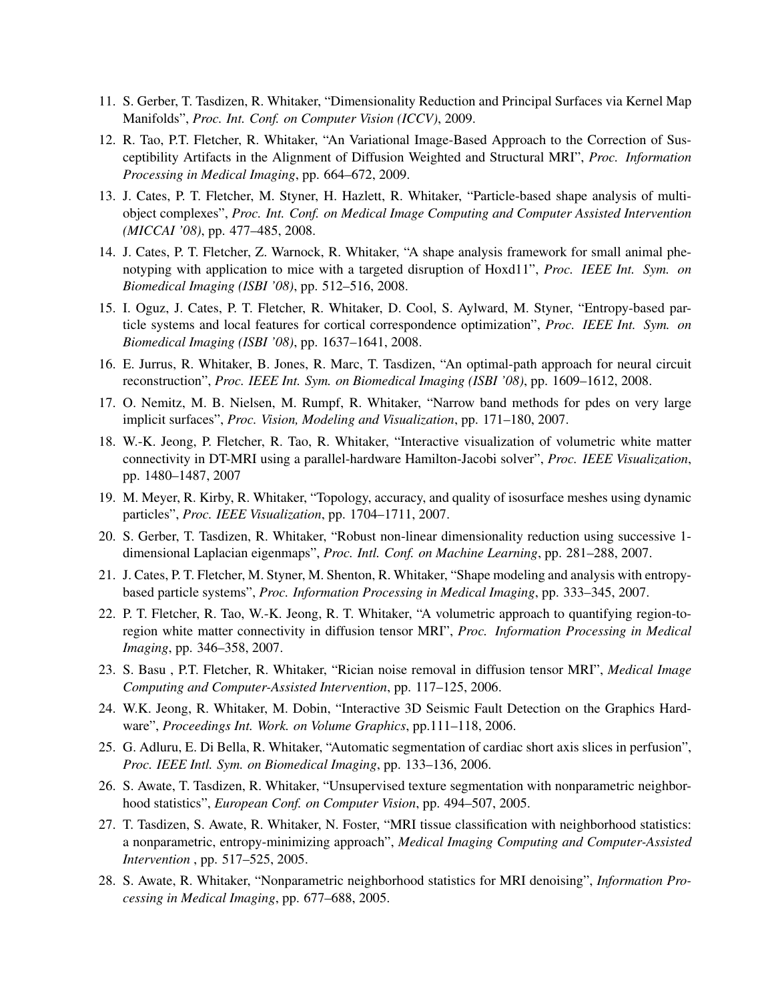- 11. S. Gerber, T. Tasdizen, R. Whitaker, "Dimensionality Reduction and Principal Surfaces via Kernel Map Manifolds", *Proc. Int. Conf. on Computer Vision (ICCV)*, 2009.
- 12. R. Tao, P.T. Fletcher, R. Whitaker, "An Variational Image-Based Approach to the Correction of Susceptibility Artifacts in the Alignment of Diffusion Weighted and Structural MRI", *Proc. Information Processing in Medical Imaging*, pp. 664–672, 2009.
- 13. J. Cates, P. T. Fletcher, M. Styner, H. Hazlett, R. Whitaker, "Particle-based shape analysis of multiobject complexes", *Proc. Int. Conf. on Medical Image Computing and Computer Assisted Intervention (MICCAI '08)*, pp. 477–485, 2008.
- 14. J. Cates, P. T. Fletcher, Z. Warnock, R. Whitaker, "A shape analysis framework for small animal phenotyping with application to mice with a targeted disruption of Hoxd11", *Proc. IEEE Int. Sym. on Biomedical Imaging (ISBI '08)*, pp. 512–516, 2008.
- 15. I. Oguz, J. Cates, P. T. Fletcher, R. Whitaker, D. Cool, S. Aylward, M. Styner, "Entropy-based particle systems and local features for cortical correspondence optimization", *Proc. IEEE Int. Sym. on Biomedical Imaging (ISBI '08)*, pp. 1637–1641, 2008.
- 16. E. Jurrus, R. Whitaker, B. Jones, R. Marc, T. Tasdizen, "An optimal-path approach for neural circuit reconstruction", *Proc. IEEE Int. Sym. on Biomedical Imaging (ISBI '08)*, pp. 1609–1612, 2008.
- 17. O. Nemitz, M. B. Nielsen, M. Rumpf, R. Whitaker, "Narrow band methods for pdes on very large implicit surfaces", *Proc. Vision, Modeling and Visualization*, pp. 171–180, 2007.
- 18. W.-K. Jeong, P. Fletcher, R. Tao, R. Whitaker, "Interactive visualization of volumetric white matter connectivity in DT-MRI using a parallel-hardware Hamilton-Jacobi solver", *Proc. IEEE Visualization*, pp. 1480–1487, 2007
- 19. M. Meyer, R. Kirby, R. Whitaker, "Topology, accuracy, and quality of isosurface meshes using dynamic particles", *Proc. IEEE Visualization*, pp. 1704–1711, 2007.
- 20. S. Gerber, T. Tasdizen, R. Whitaker, "Robust non-linear dimensionality reduction using successive 1 dimensional Laplacian eigenmaps", *Proc. Intl. Conf. on Machine Learning*, pp. 281–288, 2007.
- 21. J. Cates, P. T. Fletcher, M. Styner, M. Shenton, R. Whitaker, "Shape modeling and analysis with entropybased particle systems", *Proc. Information Processing in Medical Imaging*, pp. 333–345, 2007.
- 22. P. T. Fletcher, R. Tao, W.-K. Jeong, R. T. Whitaker, "A volumetric approach to quantifying region-toregion white matter connectivity in diffusion tensor MRI", *Proc. Information Processing in Medical Imaging*, pp. 346–358, 2007.
- 23. S. Basu , P.T. Fletcher, R. Whitaker, "Rician noise removal in diffusion tensor MRI", *Medical Image Computing and Computer-Assisted Intervention*, pp. 117–125, 2006.
- 24. W.K. Jeong, R. Whitaker, M. Dobin, "Interactive 3D Seismic Fault Detection on the Graphics Hardware", *Proceedings Int. Work. on Volume Graphics*, pp.111–118, 2006.
- 25. G. Adluru, E. Di Bella, R. Whitaker, "Automatic segmentation of cardiac short axis slices in perfusion", *Proc. IEEE Intl. Sym. on Biomedical Imaging*, pp. 133–136, 2006.
- 26. S. Awate, T. Tasdizen, R. Whitaker, "Unsupervised texture segmentation with nonparametric neighborhood statistics", *European Conf. on Computer Vision*, pp. 494–507, 2005.
- 27. T. Tasdizen, S. Awate, R. Whitaker, N. Foster, "MRI tissue classification with neighborhood statistics: a nonparametric, entropy-minimizing approach", *Medical Imaging Computing and Computer-Assisted Intervention* , pp. 517–525, 2005.
- 28. S. Awate, R. Whitaker, "Nonparametric neighborhood statistics for MRI denoising", *Information Processing in Medical Imaging*, pp. 677–688, 2005.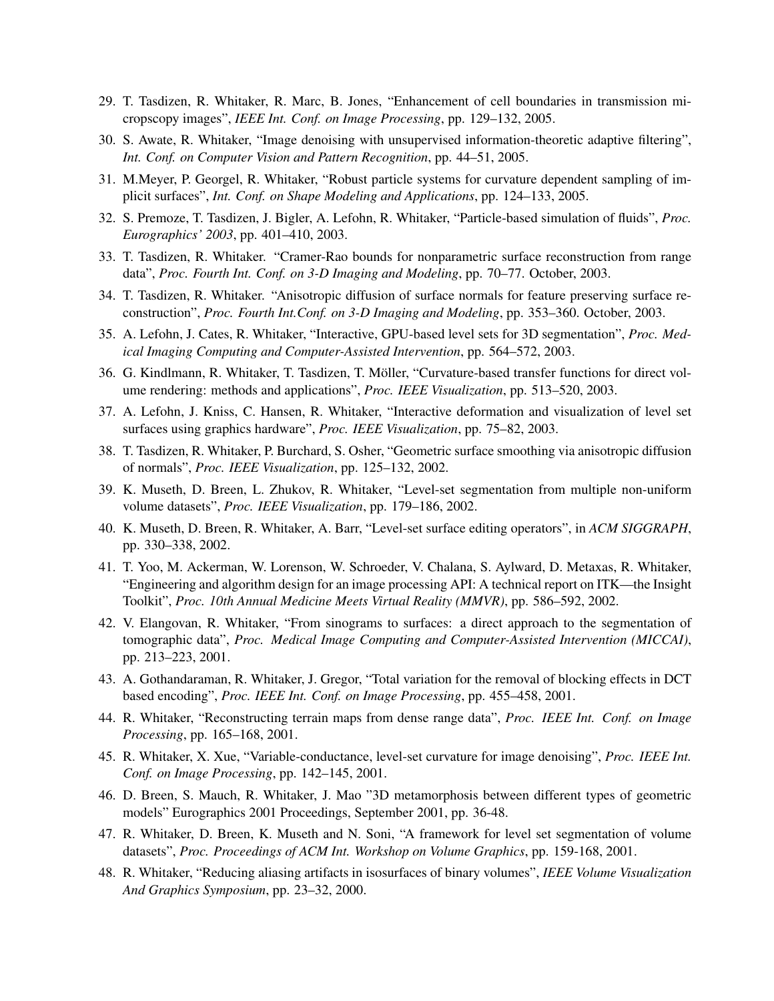- 29. T. Tasdizen, R. Whitaker, R. Marc, B. Jones, "Enhancement of cell boundaries in transmission micropscopy images", *IEEE Int. Conf. on Image Processing*, pp. 129–132, 2005.
- 30. S. Awate, R. Whitaker, "Image denoising with unsupervised information-theoretic adaptive filtering", *Int. Conf. on Computer Vision and Pattern Recognition*, pp. 44–51, 2005.
- 31. M.Meyer, P. Georgel, R. Whitaker, "Robust particle systems for curvature dependent sampling of implicit surfaces", *Int. Conf. on Shape Modeling and Applications*, pp. 124–133, 2005.
- 32. S. Premoze, T. Tasdizen, J. Bigler, A. Lefohn, R. Whitaker, "Particle-based simulation of fluids", *Proc. Eurographics' 2003*, pp. 401–410, 2003.
- 33. T. Tasdizen, R. Whitaker. "Cramer-Rao bounds for nonparametric surface reconstruction from range data", *Proc. Fourth Int. Conf. on 3-D Imaging and Modeling*, pp. 70–77. October, 2003.
- 34. T. Tasdizen, R. Whitaker. "Anisotropic diffusion of surface normals for feature preserving surface reconstruction", *Proc. Fourth Int.Conf. on 3-D Imaging and Modeling*, pp. 353–360. October, 2003.
- 35. A. Lefohn, J. Cates, R. Whitaker, "Interactive, GPU-based level sets for 3D segmentation", *Proc. Medical Imaging Computing and Computer-Assisted Intervention*, pp. 564–572, 2003.
- 36. G. Kindlmann, R. Whitaker, T. Tasdizen, T. Moller, "Curvature-based transfer functions for direct vol- ¨ ume rendering: methods and applications", *Proc. IEEE Visualization*, pp. 513–520, 2003.
- 37. A. Lefohn, J. Kniss, C. Hansen, R. Whitaker, "Interactive deformation and visualization of level set surfaces using graphics hardware", *Proc. IEEE Visualization*, pp. 75–82, 2003.
- 38. T. Tasdizen, R. Whitaker, P. Burchard, S. Osher, "Geometric surface smoothing via anisotropic diffusion of normals", *Proc. IEEE Visualization*, pp. 125–132, 2002.
- 39. K. Museth, D. Breen, L. Zhukov, R. Whitaker, "Level-set segmentation from multiple non-uniform volume datasets", *Proc. IEEE Visualization*, pp. 179–186, 2002.
- 40. K. Museth, D. Breen, R. Whitaker, A. Barr, "Level-set surface editing operators", in *ACM SIGGRAPH*, pp. 330–338, 2002.
- 41. T. Yoo, M. Ackerman, W. Lorenson, W. Schroeder, V. Chalana, S. Aylward, D. Metaxas, R. Whitaker, "Engineering and algorithm design for an image processing API: A technical report on ITK—the Insight Toolkit", *Proc. 10th Annual Medicine Meets Virtual Reality (MMVR)*, pp. 586–592, 2002.
- 42. V. Elangovan, R. Whitaker, "From sinograms to surfaces: a direct approach to the segmentation of tomographic data", *Proc. Medical Image Computing and Computer-Assisted Intervention (MICCAI)*, pp. 213–223, 2001.
- 43. A. Gothandaraman, R. Whitaker, J. Gregor, "Total variation for the removal of blocking effects in DCT based encoding", *Proc. IEEE Int. Conf. on Image Processing*, pp. 455–458, 2001.
- 44. R. Whitaker, "Reconstructing terrain maps from dense range data", *Proc. IEEE Int. Conf. on Image Processing*, pp. 165–168, 2001.
- 45. R. Whitaker, X. Xue, "Variable-conductance, level-set curvature for image denoising", *Proc. IEEE Int. Conf. on Image Processing*, pp. 142–145, 2001.
- 46. D. Breen, S. Mauch, R. Whitaker, J. Mao "3D metamorphosis between different types of geometric models" Eurographics 2001 Proceedings, September 2001, pp. 36-48.
- 47. R. Whitaker, D. Breen, K. Museth and N. Soni, "A framework for level set segmentation of volume datasets", *Proc. Proceedings of ACM Int. Workshop on Volume Graphics*, pp. 159-168, 2001.
- 48. R. Whitaker, "Reducing aliasing artifacts in isosurfaces of binary volumes", *IEEE Volume Visualization And Graphics Symposium*, pp. 23–32, 2000.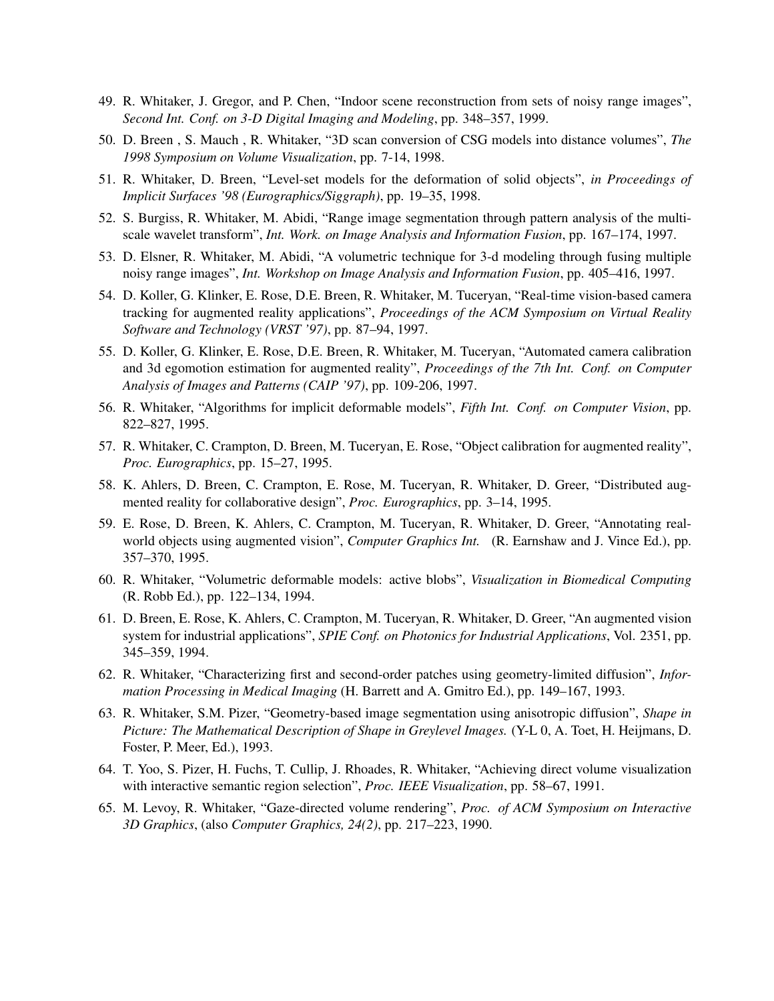- 49. R. Whitaker, J. Gregor, and P. Chen, "Indoor scene reconstruction from sets of noisy range images", *Second Int. Conf. on 3-D Digital Imaging and Modeling*, pp. 348–357, 1999.
- 50. D. Breen , S. Mauch , R. Whitaker, "3D scan conversion of CSG models into distance volumes", *The 1998 Symposium on Volume Visualization*, pp. 7-14, 1998.
- 51. R. Whitaker, D. Breen, "Level-set models for the deformation of solid objects", *in Proceedings of Implicit Surfaces '98 (Eurographics/Siggraph)*, pp. 19–35, 1998.
- 52. S. Burgiss, R. Whitaker, M. Abidi, "Range image segmentation through pattern analysis of the multiscale wavelet transform", *Int. Work. on Image Analysis and Information Fusion*, pp. 167–174, 1997.
- 53. D. Elsner, R. Whitaker, M. Abidi, "A volumetric technique for 3-d modeling through fusing multiple noisy range images", *Int. Workshop on Image Analysis and Information Fusion*, pp. 405–416, 1997.
- 54. D. Koller, G. Klinker, E. Rose, D.E. Breen, R. Whitaker, M. Tuceryan, "Real-time vision-based camera tracking for augmented reality applications", *Proceedings of the ACM Symposium on Virtual Reality Software and Technology (VRST '97)*, pp. 87–94, 1997.
- 55. D. Koller, G. Klinker, E. Rose, D.E. Breen, R. Whitaker, M. Tuceryan, "Automated camera calibration and 3d egomotion estimation for augmented reality", *Proceedings of the 7th Int. Conf. on Computer Analysis of Images and Patterns (CAIP '97)*, pp. 109-206, 1997.
- 56. R. Whitaker, "Algorithms for implicit deformable models", *Fifth Int. Conf. on Computer Vision*, pp. 822–827, 1995.
- 57. R. Whitaker, C. Crampton, D. Breen, M. Tuceryan, E. Rose, "Object calibration for augmented reality", *Proc. Eurographics*, pp. 15–27, 1995.
- 58. K. Ahlers, D. Breen, C. Crampton, E. Rose, M. Tuceryan, R. Whitaker, D. Greer, "Distributed augmented reality for collaborative design", *Proc. Eurographics*, pp. 3–14, 1995.
- 59. E. Rose, D. Breen, K. Ahlers, C. Crampton, M. Tuceryan, R. Whitaker, D. Greer, "Annotating realworld objects using augmented vision", *Computer Graphics Int.* (R. Earnshaw and J. Vince Ed.), pp. 357–370, 1995.
- 60. R. Whitaker, "Volumetric deformable models: active blobs", *Visualization in Biomedical Computing* (R. Robb Ed.), pp. 122–134, 1994.
- 61. D. Breen, E. Rose, K. Ahlers, C. Crampton, M. Tuceryan, R. Whitaker, D. Greer, "An augmented vision system for industrial applications", *SPIE Conf. on Photonics for Industrial Applications*, Vol. 2351, pp. 345–359, 1994.
- 62. R. Whitaker, "Characterizing first and second-order patches using geometry-limited diffusion", *Information Processing in Medical Imaging* (H. Barrett and A. Gmitro Ed.), pp. 149–167, 1993.
- 63. R. Whitaker, S.M. Pizer, "Geometry-based image segmentation using anisotropic diffusion", *Shape in Picture: The Mathematical Description of Shape in Greylevel Images.* (Y-L 0, A. Toet, H. Heijmans, D. Foster, P. Meer, Ed.), 1993.
- 64. T. Yoo, S. Pizer, H. Fuchs, T. Cullip, J. Rhoades, R. Whitaker, "Achieving direct volume visualization with interactive semantic region selection", *Proc. IEEE Visualization*, pp. 58–67, 1991.
- 65. M. Levoy, R. Whitaker, "Gaze-directed volume rendering", *Proc. of ACM Symposium on Interactive 3D Graphics*, (also *Computer Graphics, 24(2)*, pp. 217–223, 1990.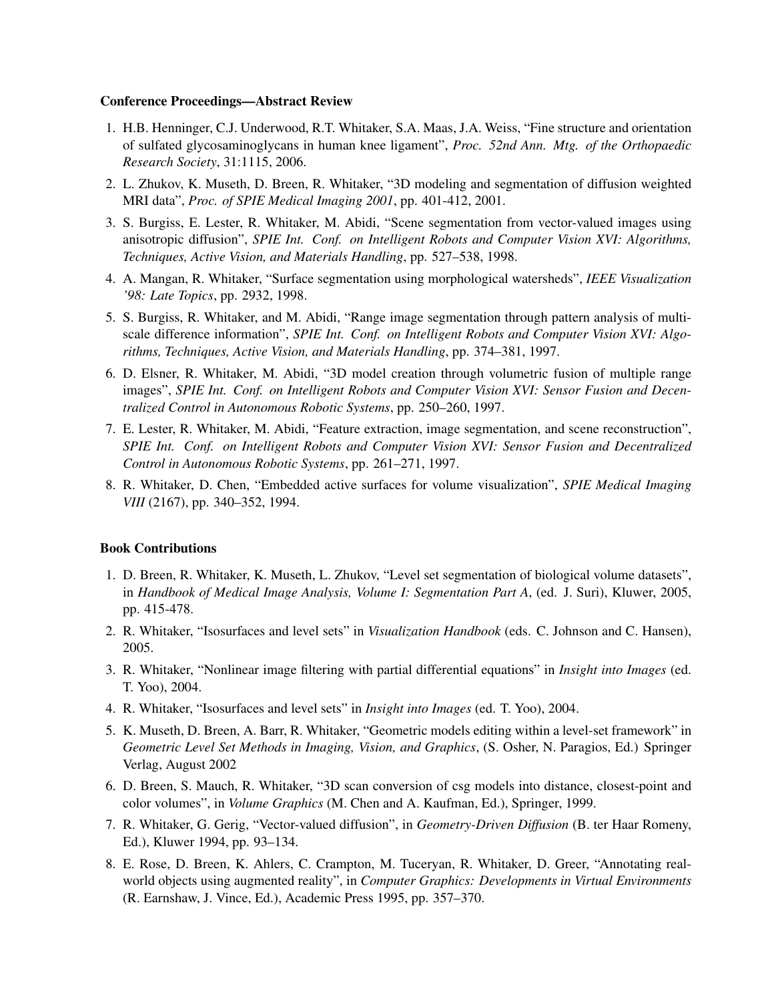#### Conference Proceedings—Abstract Review

- 1. H.B. Henninger, C.J. Underwood, R.T. Whitaker, S.A. Maas, J.A. Weiss, "Fine structure and orientation of sulfated glycosaminoglycans in human knee ligament", *Proc. 52nd Ann. Mtg. of the Orthopaedic Research Society*, 31:1115, 2006.
- 2. L. Zhukov, K. Museth, D. Breen, R. Whitaker, "3D modeling and segmentation of diffusion weighted MRI data", *Proc. of SPIE Medical Imaging 2001*, pp. 401-412, 2001.
- 3. S. Burgiss, E. Lester, R. Whitaker, M. Abidi, "Scene segmentation from vector-valued images using anisotropic diffusion", *SPIE Int. Conf. on Intelligent Robots and Computer Vision XVI: Algorithms, Techniques, Active Vision, and Materials Handling*, pp. 527–538, 1998.
- 4. A. Mangan, R. Whitaker, "Surface segmentation using morphological watersheds", *IEEE Visualization '98: Late Topics*, pp. 2932, 1998.
- 5. S. Burgiss, R. Whitaker, and M. Abidi, "Range image segmentation through pattern analysis of multiscale difference information", *SPIE Int. Conf. on Intelligent Robots and Computer Vision XVI: Algorithms, Techniques, Active Vision, and Materials Handling*, pp. 374–381, 1997.
- 6. D. Elsner, R. Whitaker, M. Abidi, "3D model creation through volumetric fusion of multiple range images", *SPIE Int. Conf. on Intelligent Robots and Computer Vision XVI: Sensor Fusion and Decentralized Control in Autonomous Robotic Systems*, pp. 250–260, 1997.
- 7. E. Lester, R. Whitaker, M. Abidi, "Feature extraction, image segmentation, and scene reconstruction", *SPIE Int. Conf. on Intelligent Robots and Computer Vision XVI: Sensor Fusion and Decentralized Control in Autonomous Robotic Systems*, pp. 261–271, 1997.
- 8. R. Whitaker, D. Chen, "Embedded active surfaces for volume visualization", *SPIE Medical Imaging VIII* (2167), pp. 340–352, 1994.

## Book Contributions

- 1. D. Breen, R. Whitaker, K. Museth, L. Zhukov, "Level set segmentation of biological volume datasets", in *Handbook of Medical Image Analysis, Volume I: Segmentation Part A*, (ed. J. Suri), Kluwer, 2005, pp. 415-478.
- 2. R. Whitaker, "Isosurfaces and level sets" in *Visualization Handbook* (eds. C. Johnson and C. Hansen), 2005.
- 3. R. Whitaker, "Nonlinear image filtering with partial differential equations" in *Insight into Images* (ed. T. Yoo), 2004.
- 4. R. Whitaker, "Isosurfaces and level sets" in *Insight into Images* (ed. T. Yoo), 2004.
- 5. K. Museth, D. Breen, A. Barr, R. Whitaker, "Geometric models editing within a level-set framework" in *Geometric Level Set Methods in Imaging, Vision, and Graphics*, (S. Osher, N. Paragios, Ed.) Springer Verlag, August 2002
- 6. D. Breen, S. Mauch, R. Whitaker, "3D scan conversion of csg models into distance, closest-point and color volumes", in *Volume Graphics* (M. Chen and A. Kaufman, Ed.), Springer, 1999.
- 7. R. Whitaker, G. Gerig, "Vector-valued diffusion", in *Geometry-Driven Diffusion* (B. ter Haar Romeny, Ed.), Kluwer 1994, pp. 93–134.
- 8. E. Rose, D. Breen, K. Ahlers, C. Crampton, M. Tuceryan, R. Whitaker, D. Greer, "Annotating realworld objects using augmented reality", in *Computer Graphics: Developments in Virtual Environments* (R. Earnshaw, J. Vince, Ed.), Academic Press 1995, pp. 357–370.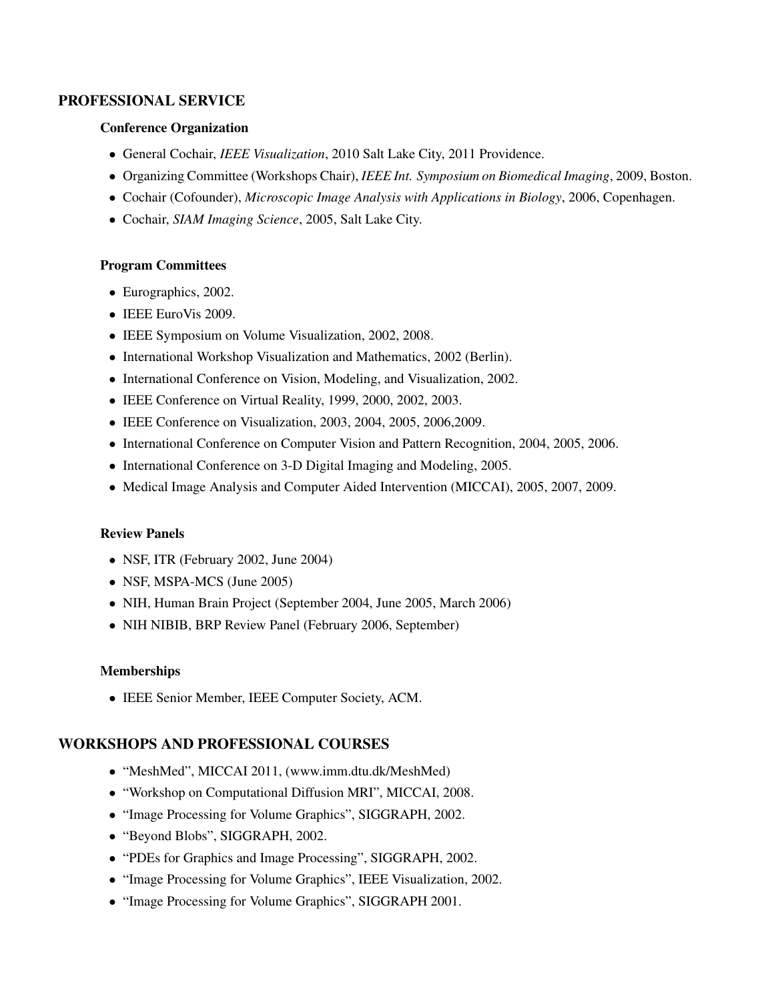# PROFESSIONAL SERVICE

# Conference Organization

- *•* General Cochair, *IEEE Visualization*, 2010 Salt Lake City, 2011 Providence.
- *•* Organizing Committee (Workshops Chair), *IEEE Int. Symposium on Biomedical Imaging*, 2009, Boston.
- *•* Cochair (Cofounder), *Microscopic Image Analysis with Applications in Biology*, 2006, Copenhagen.
- *•* Cochair, *SIAM Imaging Science*, 2005, Salt Lake City.

### Program Committees

- *•* Eurographics, 2002.
- *•* IEEE EuroVis 2009.
- *•* IEEE Symposium on Volume Visualization, 2002, 2008.
- *•* International Workshop Visualization and Mathematics, 2002 (Berlin).
- *•* International Conference on Vision, Modeling, and Visualization, 2002.
- *•* IEEE Conference on Virtual Reality, 1999, 2000, 2002, 2003.
- *•* IEEE Conference on Visualization, 2003, 2004, 2005, 2006,2009.
- International Conference on Computer Vision and Pattern Recognition, 2004, 2005, 2006.
- *•* International Conference on 3-D Digital Imaging and Modeling, 2005.
- Medical Image Analysis and Computer Aided Intervention (MICCAI), 2005, 2007, 2009.

### Review Panels

- *•* NSF, ITR (February 2002, June 2004)
- *•* NSF, MSPA-MCS (June 2005)
- *•* NIH, Human Brain Project (September 2004, June 2005, March 2006)
- *•* NIH NIBIB, BRP Review Panel (February 2006, September)

### **Memberships**

*•* IEEE Senior Member, IEEE Computer Society, ACM.

# WORKSHOPS AND PROFESSIONAL COURSES

- *•* "MeshMed", MICCAI 2011, (www.imm.dtu.dk/MeshMed)
- *•* "Workshop on Computational Diffusion MRI", MICCAI, 2008.
- *•* "Image Processing for Volume Graphics", SIGGRAPH, 2002.
- *•* "Beyond Blobs", SIGGRAPH, 2002.
- *•* "PDEs for Graphics and Image Processing", SIGGRAPH, 2002.
- *•* "Image Processing for Volume Graphics", IEEE Visualization, 2002.
- *•* "Image Processing for Volume Graphics", SIGGRAPH 2001.